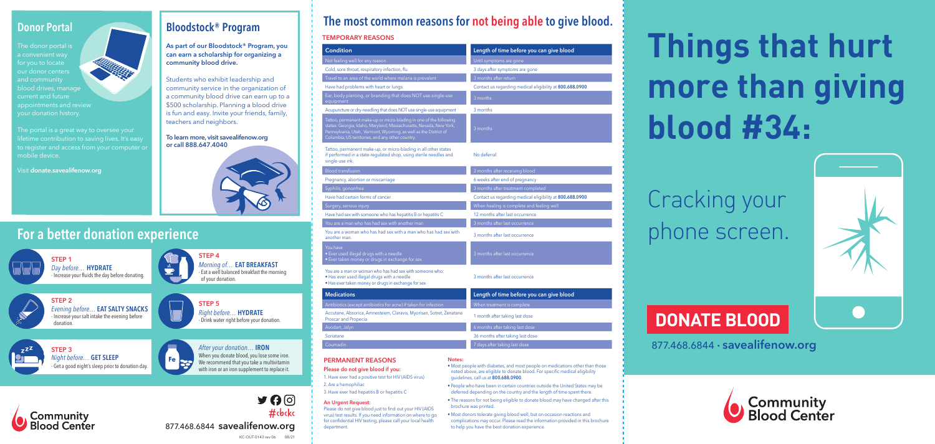# **For a better donation experience**



**STEP 1** 

*Day before…* **HYDRATE** - Increase your fluids the day before donating.



**STEP 4**  *Morning of…* **EAT BREAKFAST** - Eat a well balanced breakfast the morning of your donation.



*Night before…* **GET SLEEP** Get a good night's sleep prior to donation day.



**STEP 2**  *Evening before…* **EAT SALTY SNACKS** - Increase your salt intake the evening before



donation.



**STEP 3** 

*After your donation…* **IRON** When you donate blood, you lose some iron. We recommend that you take a multivitamin with iron or an iron supplement to replace it.

#cbckc

 $J \Theta$ 



877.468.6844 **savealifenow.org**



Cracking your phone screen.



# **DONATE BLOOD**

877.468.6844 • **savealifenow.org**



#### **TEMPORARY REASONS**

| <b>Condition</b>                                                                                                                                                                                                                                                 | Length of time before you can give blood                 |  |  |
|------------------------------------------------------------------------------------------------------------------------------------------------------------------------------------------------------------------------------------------------------------------|----------------------------------------------------------|--|--|
| Not feeling well for any reason                                                                                                                                                                                                                                  | Until symptoms are gone                                  |  |  |
| Cold, sore throat, respiratory infection, flu                                                                                                                                                                                                                    | 3 days after symptoms are gone                           |  |  |
| Travel to an area of the world where malaria is prevalent                                                                                                                                                                                                        | 3 months after return                                    |  |  |
| Have had problems with heart or lungs                                                                                                                                                                                                                            | Contact us regarding medical eligibility at 800.688.0900 |  |  |
| Ear, body piercing, or branding that does NOT use single-use<br>equipment                                                                                                                                                                                        | 3 months                                                 |  |  |
| Acupuncture or dry-needling that does NOT use single-use equipment                                                                                                                                                                                               | 3 months                                                 |  |  |
| Tattoo, permanent make-up or micro-blading in one of the following<br>states: Georgia, Idaho, Maryland, Massachusetts, Nevada, New York,<br>Pennsylvania, Utah, Vermont, Wyoming, as well as the District of<br>Columbia, US territories, and any other country. | 3 months                                                 |  |  |
| Tattoo, permanent make-up, or micro-blading in all other states<br>if performed in a state-regulated shop, using sterile needles and<br>single-use ink.                                                                                                          | No deferral                                              |  |  |
| <b>Blood transfusion</b>                                                                                                                                                                                                                                         | 3 months after receiving blood                           |  |  |
| Pregnancy, abortion or miscarriage                                                                                                                                                                                                                               | 6 weeks after end of pregnancy                           |  |  |
| Syphilis, gonorrhea                                                                                                                                                                                                                                              | 3 months after treatment completed                       |  |  |
| Have had certain forms of cancer                                                                                                                                                                                                                                 | Contact us regarding medical eligibility at 800.688.0900 |  |  |
| Surgery, serious injury                                                                                                                                                                                                                                          | When healing is complete and feeling well                |  |  |
| Have had sex with someone who has hepatitis B or hepatitis C                                                                                                                                                                                                     | 12 months after last occurrence                          |  |  |
| You are a man who has had sex with another man                                                                                                                                                                                                                   | 3 months after last occurrence                           |  |  |
| You are a woman who has had sex with a man who has had sex with<br>another man.                                                                                                                                                                                  | 3 months after last occurrence                           |  |  |
| You have<br>• Ever used illegal drugs with a needle<br>• Ever taken money or drugs in exchange for sex                                                                                                                                                           | 3 months after last occurrence                           |  |  |
| You are a man or woman who has had sex with someone who:<br>• Has ever used illegal drugs with a needle<br>• Has ever taken money or drugs in exchange for sex                                                                                                   | 3 months after last occurrence                           |  |  |
| <b>Medications</b>                                                                                                                                                                                                                                               | Length of time before you can give blood                 |  |  |
| Antibiotics (except antibiotics for acne) if taken for infection                                                                                                                                                                                                 | When treatment is complete                               |  |  |
| Accutane, Absorica, Amnesteem, Claravis, Myorisan, Sotret, Zenatane<br>Proscar and Propecia                                                                                                                                                                      | 1 month after taking last dose                           |  |  |
| Avodart, Jalyn                                                                                                                                                                                                                                                   | 6 months after taking last dose                          |  |  |
| Soriatane                                                                                                                                                                                                                                                        | 36 months after taking last dose                         |  |  |
| Coumadin                                                                                                                                                                                                                                                         | 7 days after taking last dose                            |  |  |
| Notes:<br><b>PERMANENT REASONS</b>                                                                                                                                                                                                                               |                                                          |  |  |

KC-OUT-0143 rev 06 08/21

# **The most common reasons for not being able to give blood.**

**Please do not give blood if you:**

1. Have ever had a positive test for HIV (AIDS virus)

2. Are a hemophiliac

3. Have ever had hepatitis B or hepatitis C

**An Urgent Request:** 

Please do not give blood just to find out your HIV (AIDS virus) test results. If you need information on where to go for confidential HIV testing, please call your local health

department.

• Most people with diabetes, and most people on medications other than those noted above, are eligible to donate blood. For specific medical eligibility guidelines, call us at **800.688.0900**.

- People who have been in certain countries outside the United States may be deferred depending on the country and the length of time spent there.
- The reasons for not being eligible to donate blood may have changed after this brochure was printed.
- Most donors tolerate giving blood well, but on occasion reactions and complications may occur. Please read the information provided in this brochure to help you have the best donation experience.

### **Donor Portal**

The donor portal is our donor centers blood drives, manage current and future appointments and review

lifetime contribution to saving lives. It's easy to register and access from your computer or mobile device.

Visit **donate.savealifenow.org**

## **Bloodstock® Program**

**As part of our Bloodstock® Program, you can earn a scholarship for organizing a community blood drive.**

Students who exhibit leadership and community service in the organization of a community blood drive can earn up to a \$500 scholarship. Planning a blood drive is fun and easy. Invite your friends, family, teachers and neighbors.

**To learn more, visit savealifenow.org or call 888.647.4040**